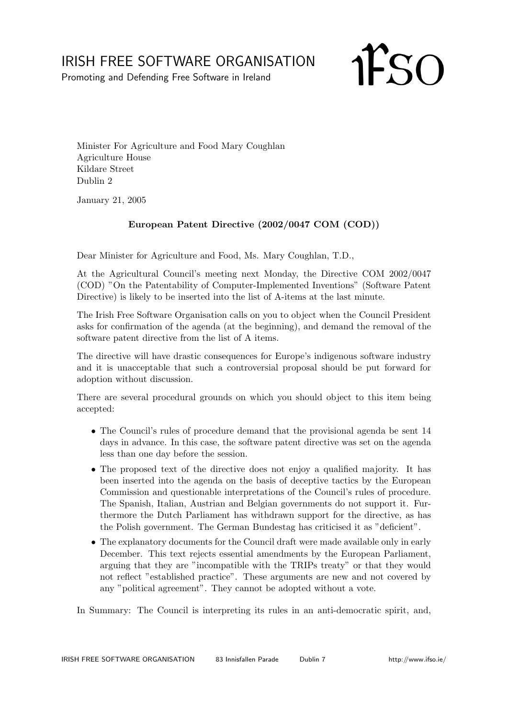## IRISH FREE SOFTWARE ORGANISATION

Promoting and Defending Free Software in Ireland

**IFSO** 

Minister For Agriculture and Food Mary Coughlan Agriculture House Kildare Street Dublin 2

January 21, 2005

## European Patent Directive (2002/0047 COM (COD))

Dear Minister for Agriculture and Food, Ms. Mary Coughlan, T.D.,

At the Agricultural Council's meeting next Monday, the Directive COM 2002/0047 (COD) "On the Patentability of Computer-Implemented Inventions" (Software Patent Directive) is likely to be inserted into the list of A-items at the last minute.

The Irish Free Software Organisation calls on you to object when the Council President asks for confirmation of the agenda (at the beginning), and demand the removal of the software patent directive from the list of A items.

The directive will have drastic consequences for Europe's indigenous software industry and it is unacceptable that such a controversial proposal should be put forward for adoption without discussion.

There are several procedural grounds on which you should object to this item being accepted:

- The Council's rules of procedure demand that the provisional agenda be sent 14 days in advance. In this case, the software patent directive was set on the agenda less than one day before the session.
- The proposed text of the directive does not enjoy a qualified majority. It has been inserted into the agenda on the basis of deceptive tactics by the European Commission and questionable interpretations of the Council's rules of procedure. The Spanish, Italian, Austrian and Belgian governments do not support it. Furthermore the Dutch Parliament has withdrawn support for the directive, as has the Polish government. The German Bundestag has criticised it as "deficient".
- The explanatory documents for the Council draft were made available only in early December. This text rejects essential amendments by the European Parliament, arguing that they are "incompatible with the TRIPs treaty" or that they would not reflect "established practice". These arguments are new and not covered by any "political agreement". They cannot be adopted without a vote.

In Summary: The Council is interpreting its rules in an anti-democratic spirit, and,